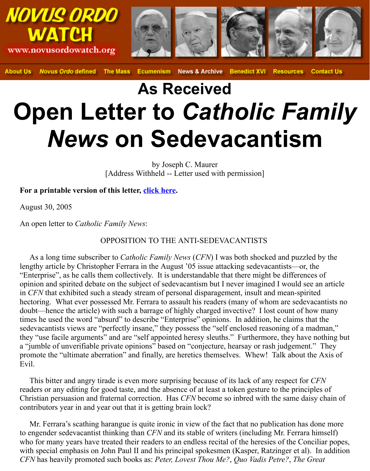## **As Received Open Letter to Catholic Family News** on Sedevacantis

by Joseph C. Maurer [Address Withheld -- Letter used with permission]

**For a printable version of this letter, click here.**

August 30, 2005

An open letter to *Catholic Family News*:

## OPPOSITION TO THE ANTI-SEDEVACANTISTS

As a long time subscriber to *Catholic Family News* (*CFN*) I was both shocked and puz lengthy article by Christopher Ferrara [in the Augu](http://novusordowatch.org/story091605print.htm)st '05 issue attacking sedevacantists—or, "Enterprise", as he calls them collectively. It is understandable that there might be differences of  $\mathbb{R}^n$ opinion and spirited debate on the subject of sedevacantism but I never imagined I would in *CFN* that exhibited such a steady stream of personal disparagement, insult and mean-spirited hectoring. What ever possessed Mr. Ferrara to assault his readers (many of whom are sedevalued) doubt—hence the article) with such a barrage of highly charged invective? I lost count of times he used the word "absurd" to describe "Enterprise" opinions. In addition, he claims sedevacantists views are "perfectly insane," they possess the "self enclosed reasoning of a they "use facile arguments" and are "self appointed heresy sleuths." Furthermore, they have a "jumble of unverifiable private opinions" based on "conjecture, hearsay or rash judgem promote the "ultimate aberration" and finally, are heretics themselves. Whew! Talk about Evil.

This bitter and angry tirade is even more surprising because of its lack of any respect for readers or any editing for good taste, and the absence of at least a token gesture to the principles of at least a token gesture to the principles of at least a token gesture to the principles of at least a token gesture t Christian persuasion and fraternal correction. Has *CFN* become so inbred with the same contributors year in and year out that it is getting brain lock?

Mr. Ferrara's scathing harangue is quite ironic in view of the fact that no publication h to engender sedevacantist thinking than *CFN* and its stable of writers (including Mr. Ferra who for many years have treated their readers to an endless recital of the heresies of the Conciliation with special emphasis on John Paul II and his principal spokesmen (Kasper, Ratzinger et *CFN* has heavily promoted such books as: *Peter, Lovest Thou Me?, Quo Vadis Petre?, The*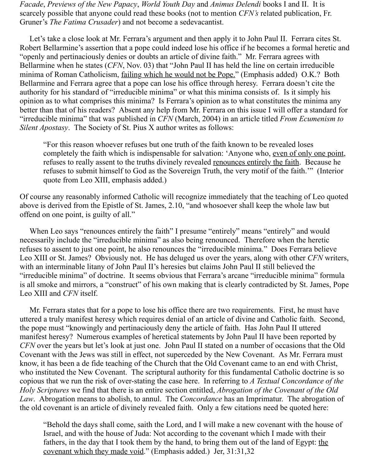*Facade*, *Previews of the New Papacy*, *World Youth Day* and *Animus Delendi* books I and II. It is scarcely possible that anyone could read these books (not to mention *CFN's* related publication, Fr. Gruner's *The Fatima Crusader*) and not become a sedevacantist.

 Let's take a close look at Mr. Ferrara's argument and then apply it to John Paul II. Ferrara cites St. Robert Bellarmine's assertion that a pope could indeed lose his office if he becomes a formal heretic and "openly and pertinaciously denies or doubts an article of divine faith." Mr. Ferrara agrees with Bellarmine when he states (*CFN*, Nov. 03) that "John Paul II has held the line on certain irreducible minima of Roman Catholicism, failing which he would not be Pope." (Emphasis added) O.K.? Both Bellarmine and Ferrara agree that a pope can lose his office through heresy. Ferrara doesn't cite the authority for his standard of "irreducible minima" or what this minima consists of. Is it simply his opinion as to what comprises this minima? Is Ferrara's opinion as to what constitutes the minima any better than that of his readers? Absent any help from Mr. Ferrara on this issue I will offer a standard for "irreducible minima" that was published in *CFN* (March, 2004) in an article titled *From Ecumenism to Silent Apostasy*. The Society of St. Pius X author writes as follows:

"For this reason whoever refuses but one truth of the faith known to be revealed loses completely the faith which is indispensable for salvation: 'Anyone who, even of only one point, refuses to really assent to the truths divinely revealed renounces entirely the faith. Because he refuses to submit himself to God as the Sovereign Truth, the very motif of the faith.'" (Interior quote from Leo XIII, emphasis added.)

Of course any reasonably informed Catholic will recognize immediately that the teaching of Leo quoted above is derived from the Epistle of St. James, 2.10, "and whosoever shall keep the whole law but offend on one point, is guilty of all."

 When Leo says "renounces entirely the faith" I presume "entirely" means "entirely" and would necessarily include the "irreducible minima" as also being renounced. Therefore when the heretic refuses to assent to just one point, he also renounces the "irreducible minima." Does Ferrara believe Leo XIII or St. James? Obviously not. He has deluged us over the years, along with other *CFN* writers, with an interminable litany of John Paul II's heresies but claims John Paul II still believed the "irreducible minima" of doctrine. It seems obvious that Ferrara's arcane "irreducible minima" formula is all smoke and mirrors, a "construct" of his own making that is clearly contradicted by St. James, Pope Leo XIII and *CFN* itself.

 Mr. Ferrara states that for a pope to lose his office there are two requirements. First, he must have uttered a truly manifest heresy which requires denial of an article of divine and Catholic faith. Second, the pope must "knowingly and pertinaciously deny the article of faith. Has John Paul II uttered manifest heresy? Numerous examples of heretical statements by John Paul II have been reported by *CFN* over the years but let's look at just one. John Paul II stated on a number of occasions that the Old Covenant with the Jews was still in effect, not superceded by the New Covenant. As Mr. Ferrara must know, it has been a de fide teaching of the Church that the Old Covenant came to an end with Christ, who instituted the New Covenant. The scriptural authority for this fundamental Catholic doctrine is so copious that we run the risk of over-stating the case here. In referring to *A Textual Concordance of the Holy Scriptures* we find that there is an entire section entitled, *Abrogation of the Covenant of the Old Law*. Abrogation means to abolish, to annul. The *Concordance* has an Imprimatur. The abrogation of the old covenant is an article of divinely revealed faith. Only a few citations need be quoted here:

"Behold the days shall come, saith the Lord, and I will make a new covenant with the house of Israel, and with the house of Juda: Not according to the covenant which I made with their fathers, in the day that I took them by the hand, to bring them out of the land of Egypt: the covenant which they made void." (Emphasis added.) Jer, 31:31,32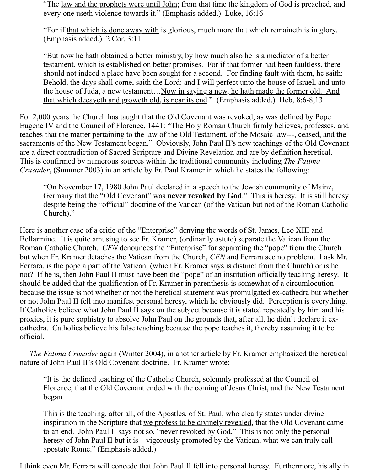"The law and the prophets were until John; from that time the kingdom of God is preached, and every one useth violence towards it." (Emphasis added.) Luke, 16:16

"For if that which is done away with is glorious, much more that which remaineth is in glory. (Emphasis added.) 2 Cor, 3:11

"But now he hath obtained a better ministry, by how much also he is a mediator of a better testament, which is established on better promises. For if that former had been faultless, there should not indeed a place have been sought for a second. For finding fault with them, he saith: Behold, the days shall come, saith the Lord: and I will perfect unto the house of Israel, and unto the house of Juda, a new testament...Now in saying a new, he hath made the former old. And that which decayeth and groweth old, is near its end." (Emphasis added.) Heb, 8:6-8,13

For 2,000 years the Church has taught that the Old Covenant was revoked, as was defined by Pope Eugene IV and the Council of Florence, 1441: "The Holy Roman Church firmly believes, professes, and teaches that the matter pertaining to the law of the Old Testament, of the Mosaic law---, ceased, and the sacraments of the New Testament began." Obviously, John Paul II's new teachings of the Old Covenant are a direct contradiction of Sacred Scripture and Divine Revelation and are by definition heretical. This is confirmed by numerous sources within the traditional community including *The Fatima Crusader*, (Summer 2003) in an article by Fr. Paul Kramer in which he states the following:

"On November 17, 1980 John Paul declared in a speech to the Jewish community of Mainz, Germany that the "Old Covenant" was **never revoked by God**." This is heresy. It is still heresy despite being the "official" doctrine of the Vatican (of the Vatican but not of the Roman Catholic Church)."

Here is another case of a critic of the "Enterprise" denying the words of St. James, Leo XIII and Bellarmine. It is quite amusing to see Fr. Kramer, (ordinarily astute) separate the Vatican from the Roman Catholic Church. *CFN* denounces the "Enterprise" for separating the "pope" from the Church but when Fr. Kramer detaches the Vatican from the Church, *CFN* and Ferrara see no problem. I ask Mr. Ferrara, is the pope a part of the Vatican, (which Fr. Kramer says is distinct from the Church) or is he not? If he is, then John Paul II must have been the "pope" of an institution officially teaching heresy. It should be added that the qualification of Fr. Kramer in parenthesis is somewhat of a circumlocution because the issue is not whether or not the heretical statement was promulgated ex-cathedra but whether or not John Paul II fell into manifest personal heresy, which he obviously did. Perception is everything. If Catholics believe what John Paul II says on the subject because it is stated repeatedly by him and his proxies, it is pure sophistry to absolve John Paul on the grounds that, after all, he didn't declare it excathedra. Catholics believe his false teaching because the pope teaches it, thereby assuming it to be official.

 *The Fatima Crusader* again (Winter 2004), in another article by Fr. Kramer emphasized the heretical nature of John Paul II's Old Covenant doctrine. Fr. Kramer wrote:

"It is the defined teaching of the Catholic Church, solemnly professed at the Council of Florence, that the Old Covenant ended with the coming of Jesus Christ, and the New Testament began.

This is the teaching, after all, of the Apostles, of St. Paul, who clearly states under divine inspiration in the Scripture that we profess to be divinely revealed, that the Old Covenant came to an end. John Paul II says not so, "never revoked by God." This is not only the personal heresy of John Paul II but it is---vigorously promoted by the Vatican, what we can truly call apostate Rome." (Emphasis added.)

I think even Mr. Ferrara will concede that John Paul II fell into personal heresy. Furthermore, his ally in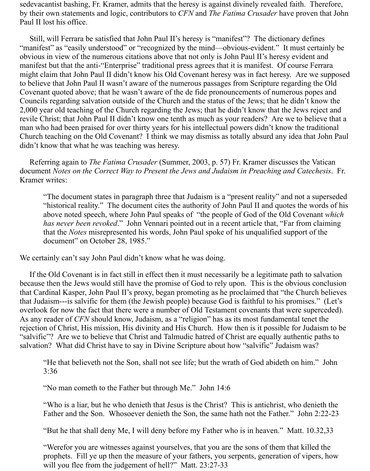sedevacantist bashing, Fr. Kramer, admits that the heresy is against divinely revealed faith. Therefore, by their own statements and logic, contributors to *CFN* and *The Fatima Crusader* have proven that John Paul II lost his office.

 Still, will Ferrara be satisfied that John Paul II's heresy is "manifest"? The dictionary defines "manifest" as "easily understood" or "recognized by the mind—obvious-evident." It must certainly be obvious in view of the numerous citations above that not only is John Paul II's heresy evident and manifest but that the anti-"Enterprise" traditional press agrees that it is manifest. Of course Ferrara might claim that John Paul II didn't know his Old Covenant heresy was in fact heresy. Are we supposed to believe that John Paul II wasn't aware of the numerous passages from Scripture regarding the Old Covenant quoted above; that he wasn't aware of the de fide pronouncements of numerous popes and Councils regarding salvation outside of the Church and the status of the Jews; that he didn't know the 2,000 year old teaching of the Church regarding the Jews; that he didn't know that the Jews reject and revile Christ; that John Paul II didn't know one tenth as much as your readers? Are we to believe that a man who had been praised for over thirty years for his intellectual powers didn't know the traditional Church teaching on the Old Covenant? I think we may dismiss as totally absurd any idea that John Paul didn't know that what he was teaching was heresy.

 Referring again to *The Fatima Crusader* (Summer, 2003, p. 57) Fr. Kramer discusses the Vatican document *Notes on the Correct Way to Present the Jews and Judaism in Preaching and Catechesis*. Fr. Kramer writes:

"The document states in paragraph three that Judaism is a "present reality" and not a superseded "historical reality." The document cites the authority of John Paul II and quotes the words of his above noted speech, where John Paul speaks of "the people of God of the Old Covenant *which has never been revoked*." John Vennari pointed out in a recent article that, "Far from claiming that the *Notes* misrepresented his words, John Paul spoke of his unqualified support of the document" on October 28, 1985."

We certainly can't say John Paul didn't know what he was doing.

 If the Old Covenant is in fact still in effect then it must necessarily be a legitimate path to salvation because then the Jews would still have the promise of God to rely upon. This is the obvious conclusion that Cardinal Kasper, John Paul II's proxy, began promoting as he proclaimed that "the Church believes that Judaism---is salvific for them (the Jewish people) because God is faithful to his promises." (Let's overlook for now the fact that there were a number of Old Testament covenants that were superceded). As any reader of *CFN* should know, Judaism, as a "religion" has as its most fundamental tenet the rejection of Christ, His mission, His divinity and His Church. How then is it possible for Judaism to be "salvific"? Are we to believe that Christ and Talmudic hatred of Christ are equally authentic paths to salvation? What did Christ have to say in Divine Scripture about how "salvific" Judaism was?

"He that believeth not the Son, shall not see life; but the wrath of God abideth on him." John 3:36

"No man cometh to the Father but through Me." John 14:6

"Who is a liar, but he who denieth that Jesus is the Christ? This is antichrist, who denieth the Father and the Son. Whosoever denieth the Son, the same hath not the Father." John 2:22-23

"But he that shall deny Me, I will deny before my Father who is in heaven." Matt. 10.32,33

"Werefor you are witnesses against yourselves, that you are the sons of them that killed the prophets. Fill ye up then the measure of your fathers, you serpents, generation of vipers, how will you flee from the judgement of hell?" Matt. 23:27-33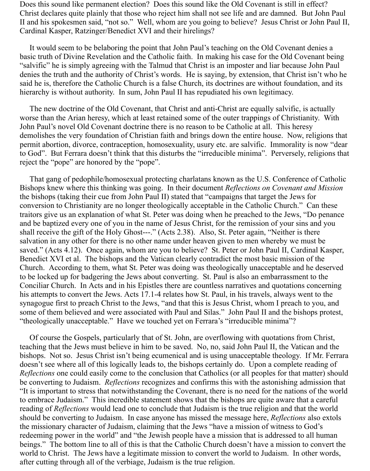Does this sound like permanent election? Does this sound like the Old Covenant is still in effect? Christ declares quite plainly that those who reject him shall not see life and are damned. But John Paul II and his spokesmen said, "not so." Well, whom are you going to believe? Jesus Christ or John Paul II, Cardinal Kasper, Ratzinger/Benedict XVI and their hirelings?

 It would seem to be belaboring the point that John Paul's teaching on the Old Covenant denies a basic truth of Divine Revelation and the Catholic faith. In making his case for the Old Covenant being "salvific" he is simply agreeing with the Talmud that Christ is an imposter and liar because John Paul denies the truth and the authority of Christ's words. He is saying, by extension, that Christ isn't who he said he is, therefore the Catholic Church is a false Church, its doctrines are without foundation, and its hierarchy is without authority. In sum, John Paul II has repudiated his own legitimacy.

 The new doctrine of the Old Covenant, that Christ and anti-Christ are equally salvific, is actually worse than the Arian heresy, which at least retained some of the outer trappings of Christianity. With John Paul's novel Old Covenant doctrine there is no reason to be Catholic at all. This heresy demolishes the very foundation of Christian faith and brings down the entire house. Now, religions that permit abortion, divorce, contraception, homosexuality, usury etc. are salvific. Immorality is now "dear to God". But Ferrara doesn't think that this disturbs the "irreducible minima". Perversely, religions that reject the "pope" are honored by the "pope".

 That gang of pedophile/homosexual protecting charlatans known as the U.S. Conference of Catholic Bishops knew where this thinking was going. In their document *Reflections on Covenant and Mission* the bishops (taking their cue from John Paul II) stated that "campaigns that target the Jews for conversion to Christianity are no longer theologically acceptable in the Catholic Church." Can these traitors give us an explanation of what St. Peter was doing when he preached to the Jews, "Do penance and be baptized every one of you in the name of Jesus Christ, for the remission of your sins and you shall receive the gift of the Holy Ghost---." (Acts 2.38). Also, St. Peter again, "Neither is there salvation in any other for there is no other name under heaven given to men whereby we must be saved." (Acts 4.12). Once again, whom are you to believe? St. Peter or John Paul II, Cardinal Kasper, Benedict XVI et al. The bishops and the Vatican clearly contradict the most basic mission of the Church. According to them, what St. Peter was doing was theologically unacceptable and he deserved to be locked up for badgering the Jews about converting. St. Paul is also an embarrassment to the Conciliar Church. In Acts and in his Epistles there are countless narratives and quotations concerning his attempts to convert the Jews. Acts 17.1-4 relates how St. Paul, in his travels, always went to the synagogue first to preach Christ to the Jews, "and that this is Jesus Christ, whom I preach to you, and some of them believed and were associated with Paul and Silas." John Paul II and the bishops protest, "theologically unacceptable." Have we touched yet on Ferrara's "irreducible minima"?

 Of course the Gospels, particularly that of St. John, are overflowing with quotations from Christ, teaching that the Jews must believe in him to be saved. No, no, said John Paul II, the Vatican and the bishops. Not so. Jesus Christ isn't being ecumenical and is using unacceptable theology. If Mr. Ferrara doesn't see where all of this logically leads to, the bishops certainly do. Upon a complete reading of *Reflections* one could easily come to the conclusion that Catholics (or all peoples for that matter) should be converting to Judaism. *Reflections* recognizes and confirms this with the astonishing admission that "It is important to stress that notwithstanding the Covenant, there is no need for the nations of the world to embrace Judaism." This incredible statement shows that the bishops are quite aware that a careful reading of *Reflections* would lead one to conclude that Judaism is the true religion and that the world should be converting to Judaism. In case anyone has missed the message here, *Reflections* also extols the missionary character of Judaism, claiming that the Jews "have a mission of witness to God's redeeming power in the world" and "the Jewish people have a mission that is addressed to all human beings." The bottom line to all of this is that the Catholic Church doesn't have a mission to convert the world to Christ. The Jews have a legitimate mission to convert the world to Judaism. In other words, after cutting through all of the verbiage, Judaism is the true religion.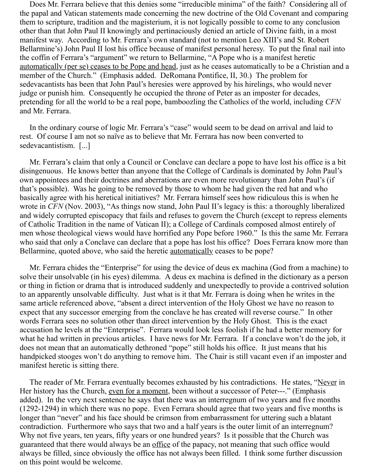Does Mr. Ferrara believe that this denies some "irreducible minima" of the faith? Considering all of the papal and Vatican statements made concerning the new doctrine of the Old Covenant and comparing them to scripture, tradition and the magisterium, it is not logically possible to come to any conclusion other than that John Paul II knowingly and pertinaciously denied an article of Divine faith, in a most manifest way. According to Mr. Ferrara's own standard (not to mention Leo XIII's and St. Robert Bellarmine's) John Paul II lost his office because of manifest personal heresy. To put the final nail into the coffin of Ferrara's "argument" we return to Bellarmine, "A Pope who is a manifest heretic automatically (per se) ceases to be Pope and head, just as he ceases automatically to be a Christian and a member of the Church." (Emphasis added. DeRomana Pontifice, II, 30.) The problem for sedevacantists has been that John Paul's heresies were approved by his hirelings, who would never judge or punish him. Consequently he occupied the throne of Peter as an imposter for decades, pretending for all the world to be a real pope, bamboozling the Catholics of the world, including *CFN* and Mr. Ferrara.

 In the ordinary course of logic Mr. Ferrara's "case" would seem to be dead on arrival and laid to rest. Of course I am not so naïve as to believe that Mr. Ferrara has now been converted to sedevacantistism. [...]

 Mr. Ferrara's claim that only a Council or Conclave can declare a pope to have lost his office is a bit disingenuous. He knows better than anyone that the College of Cardinals is dominated by John Paul's own appointees and their doctrines and aberrations are even more revolutionary than John Paul's (if that's possible). Was he going to be removed by those to whom he had given the red hat and who basically agree with his heretical initiatives? Mr. Ferrara himself sees how ridiculous this is when he wrote in *CFN* (Nov. 2003), "As things now stand, John Paul II's legacy is this: a thoroughly liberalized and widely corrupted episcopacy that fails and refuses to govern the Church (except to repress elements of Catholic Tradition in the name of Vatican II); a College of Cardinals composed almost entirely of men whose theological views would have horrified any Pope before 1960." Is this the same Mr. Ferrara who said that only a Conclave can declare that a pope has lost his office? Does Ferrara know more than Bellarmine, quoted above, who said the heretic automatically ceases to be pope?

 Mr. Ferrara chides the "Enterprise" for using the device of deus ex machina (God from a machine) to solve their unsolvable (in his eyes) dilemma. A deus ex machina is defined in the dictionary as a person or thing in fiction or drama that is introduced suddenly and unexpectedly to provide a contrived solution to an apparently unsolvable difficulty. Just what is it that Mr. Ferrara is doing when he writes in the same article referenced above, "absent a direct intervention of the Holy Ghost we have no reason to expect that any successor emerging from the conclave he has created will reverse course." In other words Ferrara sees no solution other than direct intervention by the Holy Ghost. This is the exact accusation he levels at the "Enterprise". Ferrara would look less foolish if he had a better memory for what he had written in previous articles. I have news for Mr. Ferrara. If a conclave won't do the job, it does not mean that an automatically dethroned "pope" still holds his office. It just means that his handpicked stooges won't do anything to remove him. The Chair is still vacant even if an imposter and manifest heretic is sitting there.

The reader of Mr. Ferrara eventually becomes exhausted by his contradictions. He states, "Never in Her history has the Church, even for a moment, been without a successor of Peter---." (Emphasis added). In the very next sentence he says that there was an interregnum of two years and five months (1292-1294) in which there was no pope. Even Ferrara should agree that two years and five months is longer than "never" and his face should be crimson from embarrassment for uttering such a blatant contradiction. Furthermore who says that two and a half years is the outer limit of an interregnum? Why not five years, ten years, fifty years or one hundred years? Is it possible that the Church was guaranteed that there would always be an office of the papacy, not meaning that such office would always be filled, since obviously the office has not always been filled. I think some further discussion on this point would be welcome.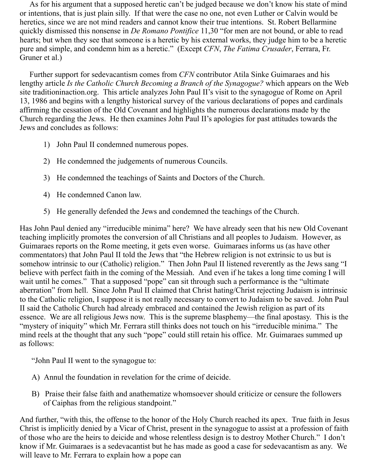As for his argument that a supposed heretic can't be judged because we don't know his state of mind or intentions, that is just plain silly. If that were the case no one, not even Luther or Calvin would be heretics, since we are not mind readers and cannot know their true intentions. St. Robert Bellarmine quickly dismissed this nonsense in *De Romano Pontifice* 11,30 "for men are not bound, or able to read hearts; but when they see that someone is a heretic by his external works, they judge him to be a heretic pure and simple, and condemn him as a heretic." (Except *CFN*, *The Fatima Crusader*, Ferrara, Fr. Gruner et al.)

 Further support for sedevacantism comes from *CFN* contributor Atila Sinke Guimaraes and his lengthy article *Is the Catholic Church Becoming a Branch of the Synagogue?* which appears on the Web site traditioninaction.org. This article analyzes John Paul II's visit to the synagogue of Rome on April 13, 1986 and begins with a lengthy historical survey of the various declarations of popes and cardinals affirming the cessation of the Old Covenant and highlights the numerous declarations made by the Church regarding the Jews. He then examines John Paul II's apologies for past attitudes towards the Jews and concludes as follows:

- 1) John Paul II condemned numerous popes.
- 2) He condemned the judgements of numerous Councils.
- 3) He condemned the teachings of Saints and Doctors of the Church.
- 4) He condemned Canon law.
- 5) He generally defended the Jews and condemned the teachings of the Church.

Has John Paul denied any "irreducible minima" here? We have already seen that his new Old Covenant teaching implicitly promotes the conversion of all Christians and all peoples to Judaism. However, as Guimaraes reports on the Rome meeting, it gets even worse. Guimaraes informs us (as have other commentators) that John Paul II told the Jews that "the Hebrew religion is not extrinsic to us but is somehow intrinsic to our (Catholic) religion." Then John Paul II listened reverently as the Jews sang "I believe with perfect faith in the coming of the Messiah. And even if he takes a long time coming I will wait until he comes." That a supposed "pope" can sit through such a performance is the "ultimate" aberration" from hell. Since John Paul II claimed that Christ hating/Christ rejecting Judaism is intrinsic to the Catholic religion, I suppose it is not really necessary to convert to Judaism to be saved. John Paul II said the Catholic Church had already embraced and contained the Jewish religion as part of its essence. We are all religious Jews now. This is the supreme blasphemy—the final apostasy. This is the "mystery of iniquity" which Mr. Ferrara still thinks does not touch on his "irreducible minima." The mind reels at the thought that any such "pope" could still retain his office. Mr. Guimaraes summed up as follows:

"John Paul II went to the synagogue to:

- A) Annul the foundation in revelation for the crime of deicide.
- B) Praise their false faith and anathematize whomsoever should criticize or censure the followers of Caiphas from the religious standpoint."

And further, "with this, the offense to the honor of the Holy Church reached its apex. True faith in Jesus Christ is implicitly denied by a Vicar of Christ, present in the synagogue to assist at a profession of faith of those who are the heirs to deicide and whose relentless design is to destroy Mother Church." I don't know if Mr. Guimaraes is a sedevacantist but he has made as good a case for sedevacantism as any. We will leave to Mr. Ferrara to explain how a pope can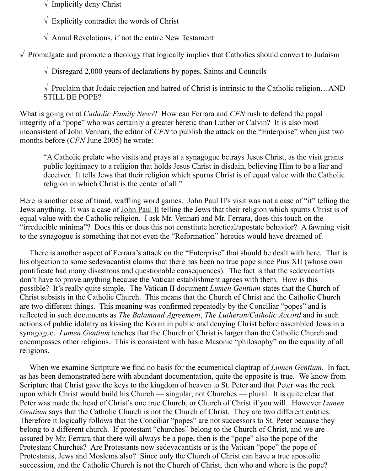√ Implicitly deny Christ

 $\sqrt{\frac{1}{2}}$  Explicitly contradict the words of Christ

 $\sqrt{\ }$  Annul Revelations, if not the entire New Testament

 $\sqrt{\ }$  Promulgate and promote a theology that logically implies that Catholics should convert to Judaism

 $\sqrt{\frac{1}{1}}$  Disregard 2,000 years of declarations by popes, Saints and Councils

 $\sqrt{\ }$  Proclaim that Judaic rejection and hatred of Christ is intrinsic to the Catholic religion...AND STILL BE POPE?

What is going on at *Catholic Family News*? How can Ferrara and *CFN* rush to defend the papal integrity of a "pope" who was certainly a greater heretic than Luther or Calvin? It is also most inconsistent of John Vennari, the editor of *CFN* to publish the attack on the "Enterprise" when just two months before (*CFN* June 2005) he wrote:

"A Catholic prelate who visits and prays at a synagogue betrays Jesus Christ, as the visit grants public legitimacy to a religion that holds Jesus Christ in disdain, believing Him to be a liar and deceiver. It tells Jews that their religion which spurns Christ is of equal value with the Catholic religion in which Christ is the center of all."

Here is another case of timid, waffling word games. John Paul II's visit was not a case of "it" telling the Jews anything. It was a case of John Paul II telling the Jews that their religion which spurns Christ is of equal value with the Catholic religion. I ask Mr. Vennari and Mr. Ferrara, does this touch on the "irreducible minima"? Does this or does this not constitute heretical/apostate behavior? A fawning visit to the synagogue is something that not even the "Reformation" heretics would have dreamed of.

 There is another aspect of Ferrara's attack on the "Enterprise" that should be dealt with here. That is his objection to some sedevacantist claims that there has been no true pope since Pius XII (whose own pontificate had many disastrous and questionable consequences). The fact is that the sedevacantists don't have to prove anything because the Vatican establishment agrees with them. How is this possible? It's really quite simple. The Vatican II document *Lumen Gentium* states that the Church of Christ subsists in the Catholic Church. This means that the Church of Christ and the Catholic Church are two different things. This meaning was confirmed repeatedly by the Conciliar "popes" and is reflected in such documents as *The Balamand Agreement*, *The Lutheran/Catholic Accord* and in such actions of public idolatry as kissing the Koran in public and denying Christ before assembled Jews in a synagogue. *Lumen Gentium* teaches that the Church of Christ is larger than the Catholic Church and encompasses other religions. This is consistent with basic Masonic "philosophy" on the equality of all religions.

 When we examine Scripture we find no basis for the ecumenical claptrap of *Lumen Gentium*. In fact, as has been demonstrated here with abundant documentation, quite the opposite is true. We know from Scripture that Christ gave the keys to the kingdom of heaven to St. Peter and that Peter was the rock upon which Christ would build his Church — singular, not Churches — plural. It is quite clear that Peter was made the head of Christ's one true Church, or Church of Christ if you will. However *Lumen Gentium* says that the Catholic Church is not the Church of Christ. They are two different entities. Therefore it logically follows that the Conciliar "popes" are not successors to St. Peter because they belong to a different church. If protestant "churches" belong to the Church of Christ, and we are assured by Mr. Ferrara that there will always be a pope, then is the "pope" also the pope of the Protestant Churches? Are Protestants now sedevacantists or is the Vatican "pope" the pope of Protestants, Jews and Moslems also? Since only the Church of Christ can have a true apostolic succession, and the Catholic Church is not the Church of Christ, then who and where is the pope?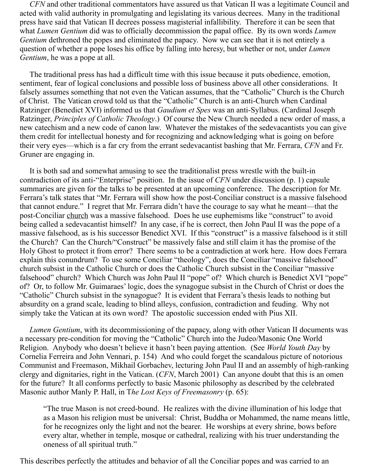*CFN* and other traditional commentators have assured us that Vatican II was a legitimate Council and acted with valid authority in promulgating and legislating its various decrees. Many in the traditional press have said that Vatican II decrees possess magisterial infallibility. Therefore it can be seen that what *Lumen Gentium* did was to officially decommission the papal office. By its own words *Lumen Gentium* dethroned the popes and eliminated the papacy. Now we can see that it is not entirely a question of whether a pope loses his office by falling into heresy, but whether or not, under *Lumen Gentium*, he was a pope at all.

 The traditional press has had a difficult time with this issue because it puts obedience, emotion, sentiment, fear of logical conclusions and possible loss of business above all other considerations. It falsely assumes something that not even the Vatican assumes, that the "Catholic" Church is the Church of Christ. The Vatican crowd told us that the "Catholic" Church is an anti-Church when Cardinal Ratzinger (Benedict XVI) informed us that *Gaudium et Spes* was an anti-Syllabus. (Cardinal Joseph Ratzinger, *Principles of Catholic Theology*.) Of course the New Church needed a new order of mass, a new catechism and a new code of canon law. Whatever the mistakes of the sedevacantists you can give them credit for intellectual honesty and for recognizing and acknowledging what is going on before their very eyes—which is a far cry from the errant sedevacantist bashing that Mr. Ferrara, *CFN* and Fr. Gruner are engaging in.

 It is both sad and somewhat amusing to see the traditionalist press wrestle with the built-in contradiction of its anti-"Enterprise" position. In the issue of *CFN* under discussion (p. 1) capsule summaries are given for the talks to be presented at an upcoming conference. The description for Mr. Ferrara's talk states that "Mr. Ferrara will show how the post-Conciliar construct is a massive falsehood that cannot endure." I regret that Mr. Ferrara didn't have the courage to say what he meant—that the post-Conciliar church was a massive falsehood. Does he use euphemisms like "construct" to avoid being called a sedevacantist himself? In any case, if he is correct, then John Paul II was the pope of a massive falsehood, as is his successor Benedict XVI. If this "construct" is a massive falsehood is it still the Church? Can the Church/"Construct" be massively false and still claim it has the promise of the Holy Ghost to protect it from error? There seems to be a contradiction at work here. How does Ferrara explain this conundrum? To use some Conciliar "theology", does the Conciliar "massive falsehood" church subsist in the Catholic Church or does the Catholic Church subsist in the Conciliar "massive falsehood" church? Which Church was John Paul II "pope" of? Which church is Benedict XVI "pope" of? Or, to follow Mr. Guimaraes' logic, does the synagogue subsist in the Church of Christ or does the "Catholic" Church subsist in the synagogue? It is evident that Ferrara's thesis leads to nothing but absurdity on a grand scale, leading to blind alleys, confusion, contradiction and feuding. Why not simply take the Vatican at its own word? The apostolic succession ended with Pius XII.

 *Lumen Gentium*, with its decommissioning of the papacy, along with other Vatican II documents was a necessary pre-condition for moving the "Catholic" Church into the Judeo/Masonic One World Religion. Anybody who doesn't believe it hasn't been paying attention. (See *World Youth Day* by Cornelia Ferreira and John Vennari, p. 154) And who could forget the scandalous picture of notorious Communist and Freemason, Mikhail Gorbachev, lecturing John Paul II and an assembly of high-ranking clergy and dignitaries, right in the Vatican. (*CFN*, March 2001) Can anyone doubt that this is an omen for the future? It all conforms perfectly to basic Masonic philosophy as described by the celebrated Masonic author Manly P. Hall, in T*he Lost Keys of Freemasonry* (p. 65):

"The true Mason is not creed-bound. He realizes with the divine illumination of his lodge that as a Mason his religion must be universal: Christ, Buddha or Mohammed, the name means little, for he recognizes only the light and not the bearer. He worships at every shrine, bows before every altar, whether in temple, mosque or cathedral, realizing with his truer understanding the oneness of all spiritual truth."

This describes perfectly the attitudes and behavior of all the Conciliar popes and was carried to an